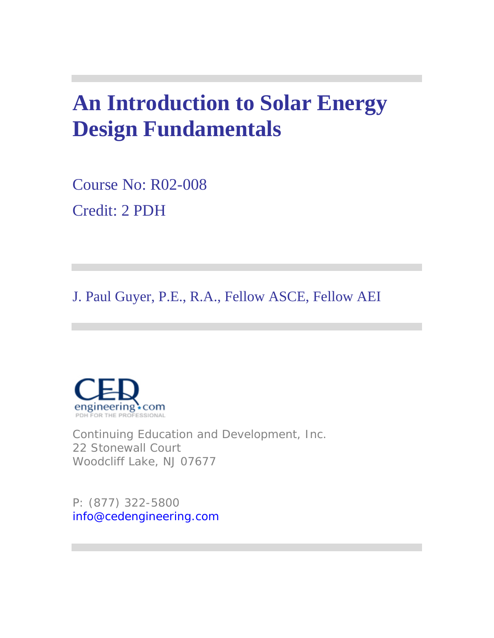## **An Introduction to Solar Energy Design Fundamentals**

Course No: R02-008 Credit: 2 PDH

J. Paul Guyer, P.E., R.A., Fellow ASCE, Fellow AEI



Continuing Education and Development, Inc. 22 Stonewall Court Woodcliff Lake, NJ 07677

P: (877) 322-5800 info@cedengineering.com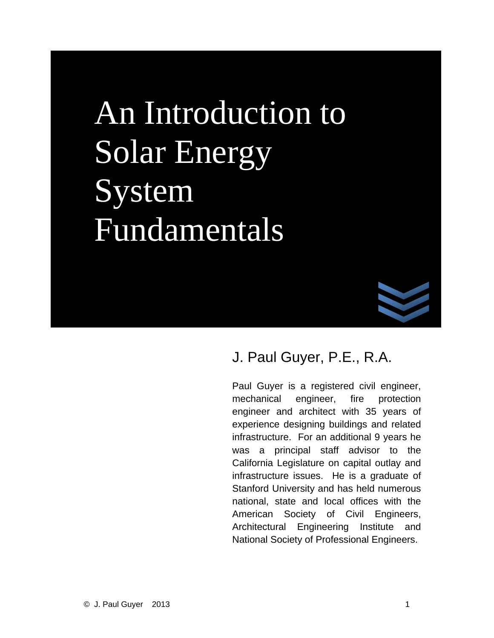# An Introduction to Solar Energy System Fundamentals



### J. Paul Guyer, P.E., R.A.

Paul Guyer is a registered civil engineer, mechanical engineer, fire protection engineer and architect with 35 years of experience designing buildings and related infrastructure. For an additional 9 years he was a principal staff advisor to the California Legislature on capital outlay and infrastructure issues. He is a graduate of Stanford University and has held numerous national, state and local offices with the American Society of Civil Engineers, Architectural Engineering Institute and National Society of Professional Engineers.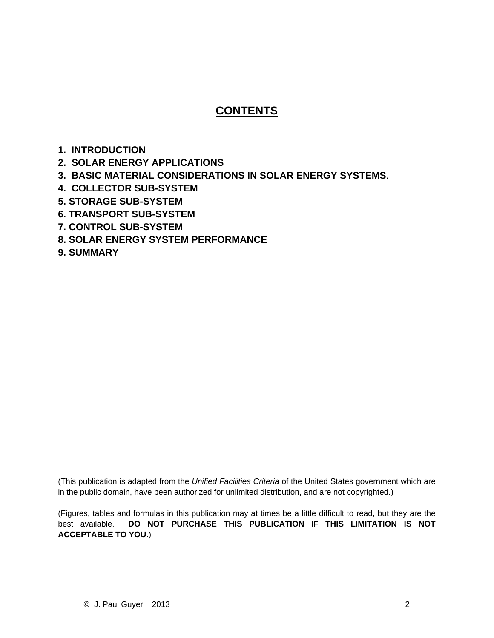#### **CONTENTS**

- **1. INTRODUCTION**
- **2. SOLAR ENERGY APPLICATIONS**
- **3. BASIC MATERIAL CONSIDERATIONS IN SOLAR ENERGY SYSTEMS**.
- **4. COLLECTOR SUB-SYSTEM**
- **5. STORAGE SUB-SYSTEM**
- **6. TRANSPORT SUB-SYSTEM**
- **7. CONTROL SUB-SYSTEM**
- **8. SOLAR ENERGY SYSTEM PERFORMANCE**
- **9. SUMMARY**

(This publication is adapted from the *Unified Facilities Criteria* of the United States government which are in the public domain, have been authorized for unlimited distribution, and are not copyrighted.)

(Figures, tables and formulas in this publication may at times be a little difficult to read, but they are the best available. **DO NOT PURCHASE THIS PUBLICATION IF THIS LIMITATION IS NOT ACCEPTABLE TO YOU**.)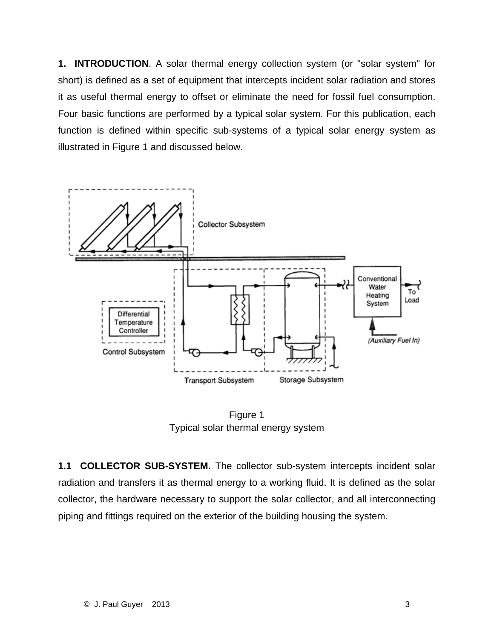**1. INTRODUCTION**. A solar thermal energy collection system (or "solar system" for short) is defined as a set of equipment that intercepts incident solar radiation and stores it as useful thermal energy to offset or eliminate the need for fossil fuel consumption. Four basic functions are performed by a typical solar system. For this publication, each function is defined within specific sub-systems of a typical solar energy system as illustrated in Figure 1 and discussed below.



Figure 1 Typical solar thermal energy system

**1.1 COLLECTOR SUB-SYSTEM.** The collector sub-system intercepts incident solar radiation and transfers it as thermal energy to a working fluid. It is defined as the solar collector, the hardware necessary to support the solar collector, and all interconnecting piping and fittings required on the exterior of the building housing the system.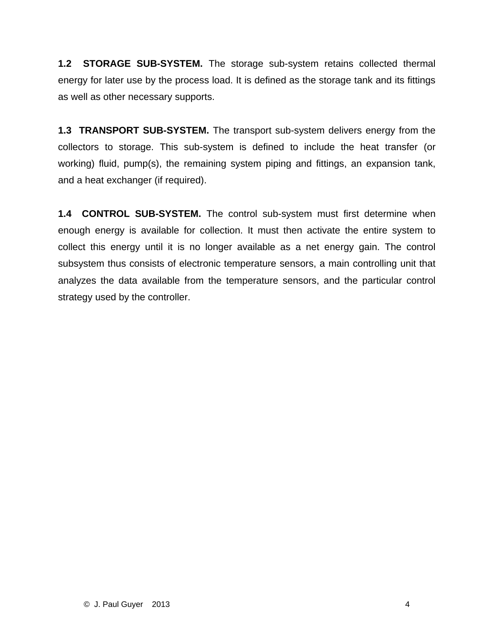**1.2 STORAGE SUB-SYSTEM.** The storage sub-system retains collected thermal energy for later use by the process load. It is defined as the storage tank and its fittings as well as other necessary supports.

**1.3 TRANSPORT SUB-SYSTEM.** The transport sub-system delivers energy from the collectors to storage. This sub-system is defined to include the heat transfer (or working) fluid, pump(s), the remaining system piping and fittings, an expansion tank, and a heat exchanger (if required).

**1.4 CONTROL SUB-SYSTEM.** The control sub-system must first determine when enough energy is available for collection. It must then activate the entire system to collect this energy until it is no longer available as a net energy gain. The control subsystem thus consists of electronic temperature sensors, a main controlling unit that analyzes the data available from the temperature sensors, and the particular control strategy used by the controller.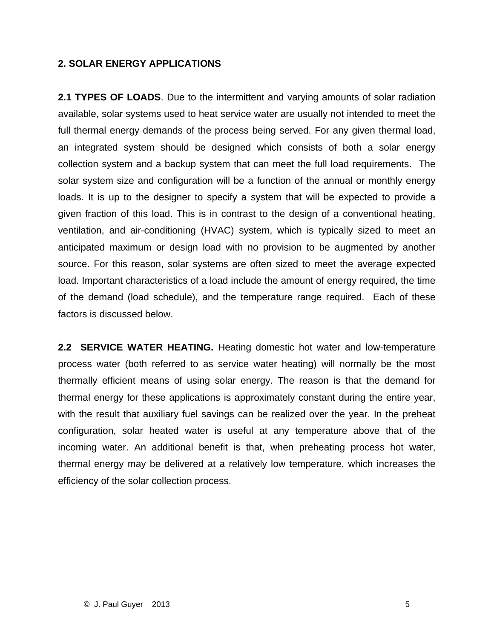#### **2. SOLAR ENERGY APPLICATIONS**

**2.1 TYPES OF LOADS**. Due to the intermittent and varying amounts of solar radiation available, solar systems used to heat service water are usually not intended to meet the full thermal energy demands of the process being served. For any given thermal load, an integrated system should be designed which consists of both a solar energy collection system and a backup system that can meet the full load requirements. The solar system size and configuration will be a function of the annual or monthly energy loads. It is up to the designer to specify a system that will be expected to provide a given fraction of this load. This is in contrast to the design of a conventional heating, ventilation, and air-conditioning (HVAC) system, which is typically sized to meet an anticipated maximum or design load with no provision to be augmented by another source. For this reason, solar systems are often sized to meet the average expected load. Important characteristics of a load include the amount of energy required, the time of the demand (load schedule), and the temperature range required. Each of these factors is discussed below.

**2.2 SERVICE WATER HEATING.** Heating domestic hot water and low-temperature process water (both referred to as service water heating) will normally be the most thermally efficient means of using solar energy. The reason is that the demand for thermal energy for these applications is approximately constant during the entire year, with the result that auxiliary fuel savings can be realized over the year. In the preheat configuration, solar heated water is useful at any temperature above that of the incoming water. An additional benefit is that, when preheating process hot water, thermal energy may be delivered at a relatively low temperature, which increases the efficiency of the solar collection process.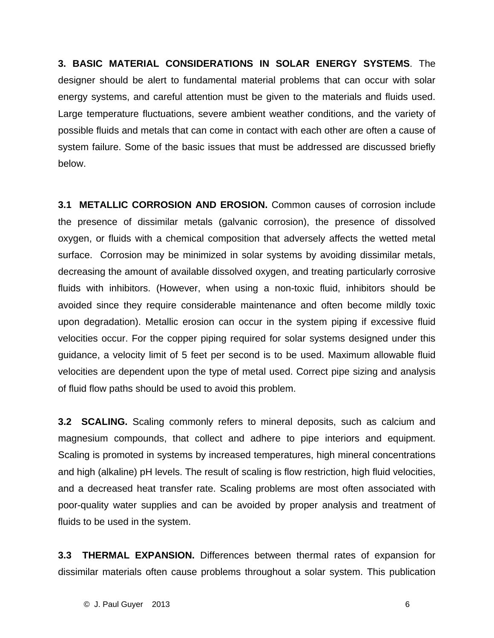**3. BASIC MATERIAL CONSIDERATIONS IN SOLAR ENERGY SYSTEMS**. The designer should be alert to fundamental material problems that can occur with solar energy systems, and careful attention must be given to the materials and fluids used. Large temperature fluctuations, severe ambient weather conditions, and the variety of possible fluids and metals that can come in contact with each other are often a cause of system failure. Some of the basic issues that must be addressed are discussed briefly below.

**3.1 METALLIC CORROSION AND EROSION.** Common causes of corrosion include the presence of dissimilar metals (galvanic corrosion), the presence of dissolved oxygen, or fluids with a chemical composition that adversely affects the wetted metal surface. Corrosion may be minimized in solar systems by avoiding dissimilar metals, decreasing the amount of available dissolved oxygen, and treating particularly corrosive fluids with inhibitors. (However, when using a non-toxic fluid, inhibitors should be avoided since they require considerable maintenance and often become mildly toxic upon degradation). Metallic erosion can occur in the system piping if excessive fluid velocities occur. For the copper piping required for solar systems designed under this guidance, a velocity limit of 5 feet per second is to be used. Maximum allowable fluid velocities are dependent upon the type of metal used. Correct pipe sizing and analysis of fluid flow paths should be used to avoid this problem.

**3.2 SCALING.** Scaling commonly refers to mineral deposits, such as calcium and magnesium compounds, that collect and adhere to pipe interiors and equipment. Scaling is promoted in systems by increased temperatures, high mineral concentrations and high (alkaline) pH levels. The result of scaling is flow restriction, high fluid velocities, and a decreased heat transfer rate. Scaling problems are most often associated with poor-quality water supplies and can be avoided by proper analysis and treatment of fluids to be used in the system.

**3.3 THERMAL EXPANSION.** Differences between thermal rates of expansion for dissimilar materials often cause problems throughout a solar system. This publication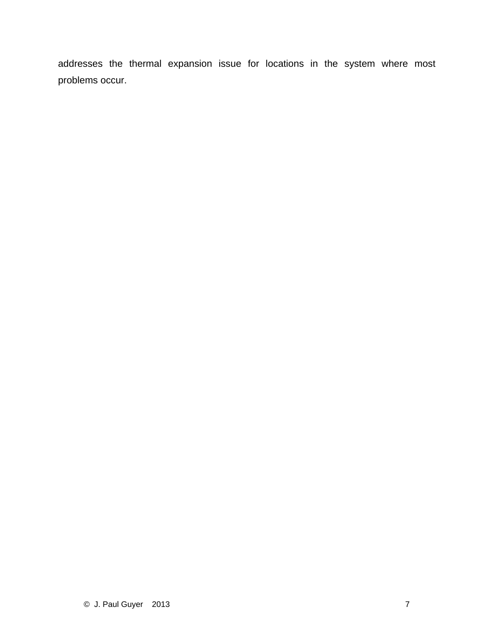addresses the thermal expansion issue for locations in the system where most problems occur.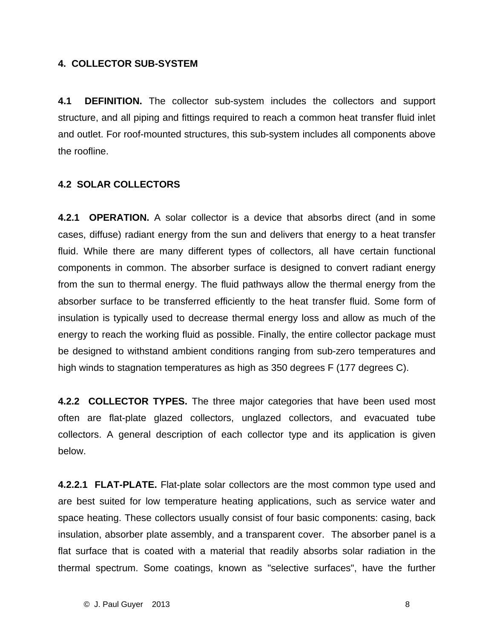#### **4. COLLECTOR SUB-SYSTEM**

**4.1 DEFINITION.** The collector sub-system includes the collectors and support structure, and all piping and fittings required to reach a common heat transfer fluid inlet and outlet. For roof-mounted structures, this sub-system includes all components above the roofline.

#### **4.2 SOLAR COLLECTORS**

**4.2.1 OPERATION.** A solar collector is a device that absorbs direct (and in some cases, diffuse) radiant energy from the sun and delivers that energy to a heat transfer fluid. While there are many different types of collectors, all have certain functional components in common. The absorber surface is designed to convert radiant energy from the sun to thermal energy. The fluid pathways allow the thermal energy from the absorber surface to be transferred efficiently to the heat transfer fluid. Some form of insulation is typically used to decrease thermal energy loss and allow as much of the energy to reach the working fluid as possible. Finally, the entire collector package must be designed to withstand ambient conditions ranging from sub-zero temperatures and high winds to stagnation temperatures as high as 350 degrees F (177 degrees C).

**4.2.2 COLLECTOR TYPES.** The three major categories that have been used most often are flat-plate glazed collectors, unglazed collectors, and evacuated tube collectors. A general description of each collector type and its application is given below.

**4.2.2.1 FLAT-PLATE.** Flat-plate solar collectors are the most common type used and are best suited for low temperature heating applications, such as service water and space heating. These collectors usually consist of four basic components: casing, back insulation, absorber plate assembly, and a transparent cover. The absorber panel is a flat surface that is coated with a material that readily absorbs solar radiation in the thermal spectrum. Some coatings, known as "selective surfaces", have the further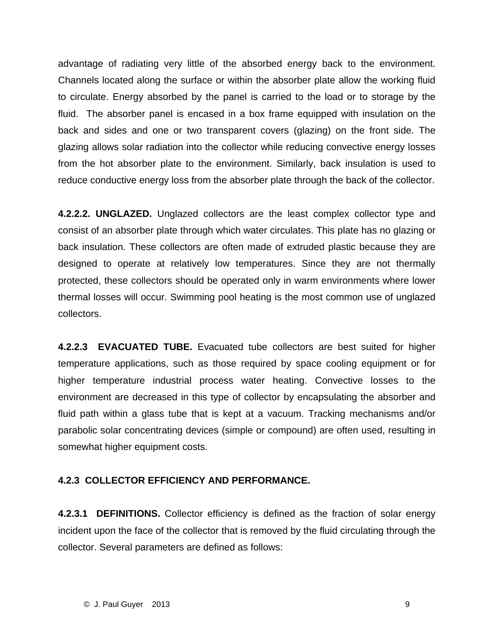advantage of radiating very little of the absorbed energy back to the environment. Channels located along the surface or within the absorber plate allow the working fluid to circulate. Energy absorbed by the panel is carried to the load or to storage by the fluid. The absorber panel is encased in a box frame equipped with insulation on the back and sides and one or two transparent covers (glazing) on the front side. The glazing allows solar radiation into the collector while reducing convective energy losses from the hot absorber plate to the environment. Similarly, back insulation is used to reduce conductive energy loss from the absorber plate through the back of the collector.

**4.2.2.2. UNGLAZED.** Unglazed collectors are the least complex collector type and consist of an absorber plate through which water circulates. This plate has no glazing or back insulation. These collectors are often made of extruded plastic because they are designed to operate at relatively low temperatures. Since they are not thermally protected, these collectors should be operated only in warm environments where lower thermal losses will occur. Swimming pool heating is the most common use of unglazed collectors.

**4.2.2.3 EVACUATED TUBE.** Evacuated tube collectors are best suited for higher temperature applications, such as those required by space cooling equipment or for higher temperature industrial process water heating. Convective losses to the environment are decreased in this type of collector by encapsulating the absorber and fluid path within a glass tube that is kept at a vacuum. Tracking mechanisms and/or parabolic solar concentrating devices (simple or compound) are often used, resulting in somewhat higher equipment costs.

#### **4.2.3 COLLECTOR EFFICIENCY AND PERFORMANCE.**

**4.2.3.1 DEFINITIONS.** Collector efficiency is defined as the fraction of solar energy incident upon the face of the collector that is removed by the fluid circulating through the collector. Several parameters are defined as follows: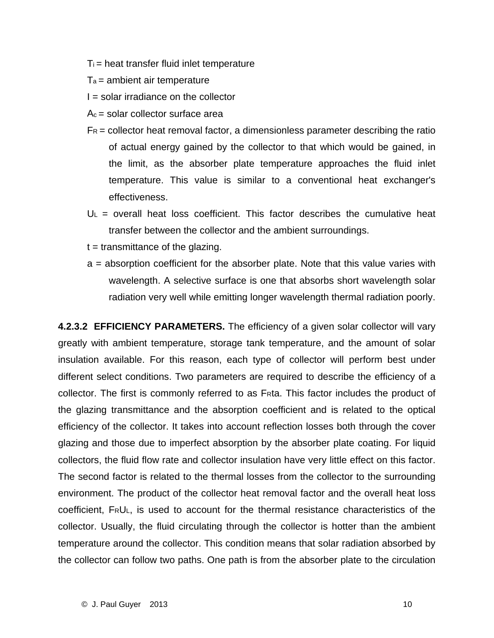- $T_i$  = heat transfer fluid inlet temperature
- $Ta =$  ambient air temperature
- $I = solar$  irradiance on the collector
- $Ac = solar$  collector surface area
- $Fr =$  collector heat removal factor, a dimensionless parameter describing the ratio of actual energy gained by the collector to that which would be gained, in the limit, as the absorber plate temperature approaches the fluid inlet temperature. This value is similar to a conventional heat exchanger's effectiveness.
- $U_L$  = overall heat loss coefficient. This factor describes the cumulative heat transfer between the collector and the ambient surroundings.
- $t =$  transmittance of the glazing.
- a = absorption coefficient for the absorber plate. Note that this value varies with wavelength. A selective surface is one that absorbs short wavelength solar radiation very well while emitting longer wavelength thermal radiation poorly.

**4.2.3.2 EFFICIENCY PARAMETERS.** The efficiency of a given solar collector will vary greatly with ambient temperature, storage tank temperature, and the amount of solar insulation available. For this reason, each type of collector will perform best under different select conditions. Two parameters are required to describe the efficiency of a collector. The first is commonly referred to as FRta. This factor includes the product of the glazing transmittance and the absorption coefficient and is related to the optical efficiency of the collector. It takes into account reflection losses both through the cover glazing and those due to imperfect absorption by the absorber plate coating. For liquid collectors, the fluid flow rate and collector insulation have very little effect on this factor. The second factor is related to the thermal losses from the collector to the surrounding environment. The product of the collector heat removal factor and the overall heat loss coefficient, FRUL, is used to account for the thermal resistance characteristics of the collector. Usually, the fluid circulating through the collector is hotter than the ambient temperature around the collector. This condition means that solar radiation absorbed by the collector can follow two paths. One path is from the absorber plate to the circulation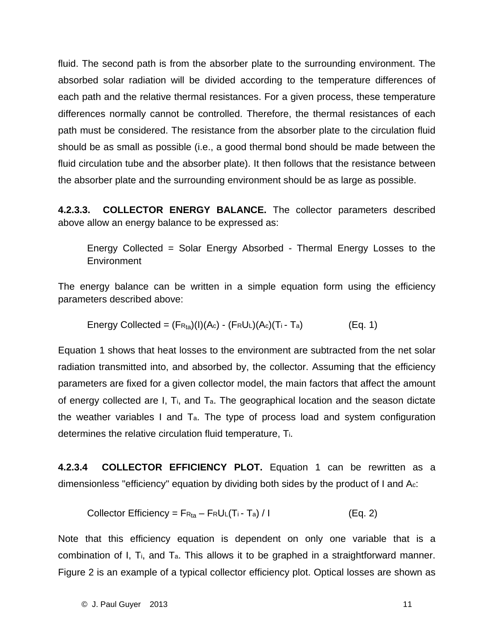fluid. The second path is from the absorber plate to the surrounding environment. The absorbed solar radiation will be divided according to the temperature differences of each path and the relative thermal resistances. For a given process, these temperature differences normally cannot be controlled. Therefore, the thermal resistances of each path must be considered. The resistance from the absorber plate to the circulation fluid should be as small as possible (i.e., a good thermal bond should be made between the fluid circulation tube and the absorber plate). It then follows that the resistance between the absorber plate and the surrounding environment should be as large as possible.

**4.2.3.3. COLLECTOR ENERGY BALANCE.** The collector parameters described above allow an energy balance to be expressed as:

Energy Collected = Solar Energy Absorbed - Thermal Energy Losses to the **Environment** 

The energy balance can be written in a simple equation form using the efficiency parameters described above:

Energy Collected = 
$$
(F_{R_{ta}})(I)(Ac) - (F_R U_L)(Ac)(Ti - Ta)
$$
 (Eq. 1)

Equation 1 shows that heat losses to the environment are subtracted from the net solar radiation transmitted into, and absorbed by, the collector. Assuming that the efficiency parameters are fixed for a given collector model, the main factors that affect the amount of energy collected are I, Ti, and Ta. The geographical location and the season dictate the weather variables I and Ta. The type of process load and system configuration determines the relative circulation fluid temperature, Ti.

**4.2.3.4 COLLECTOR EFFICIENCY PLOT.** Equation 1 can be rewritten as a dimensionless "efficiency" equation by dividing both sides by the product of I and Ac:

$$
Collector Efficiency = Frta - FrUL(Ti - Ta) / I
$$
 (Eq. 2)

Note that this efficiency equation is dependent on only one variable that is a combination of I, Ti, and Ta. This allows it to be graphed in a straightforward manner. Figure 2 is an example of a typical collector efficiency plot. Optical losses are shown as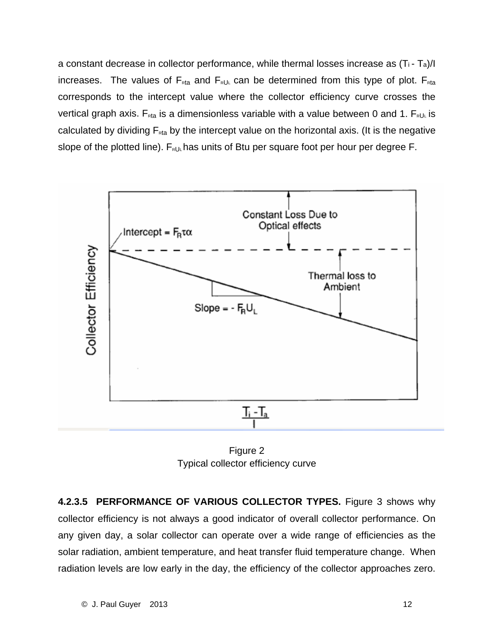a constant decrease in collector performance, while thermal losses increase as (Ti - Ta)/I increases. The values of  $F_{Rta}$  and  $F_{RUL}$  can be determined from this type of plot.  $F_{Rta}$ corresponds to the intercept value where the collector efficiency curve crosses the vertical graph axis.  $F_{\text{rta}}$  is a dimensionless variable with a value between 0 and 1.  $F_{\text{RUL}}$  is calculated by dividing  $F_{\text{rta}}$  by the intercept value on the horizontal axis. (It is the negative slope of the plotted line).  $F_{RUL}$  has units of Btu per square foot per hour per degree F.



Figure 2 Typical collector efficiency curve

**4.2.3.5 PERFORMANCE OF VARIOUS COLLECTOR TYPES.** Figure 3 shows why collector efficiency is not always a good indicator of overall collector performance. On any given day, a solar collector can operate over a wide range of efficiencies as the solar radiation, ambient temperature, and heat transfer fluid temperature change. When radiation levels are low early in the day, the efficiency of the collector approaches zero.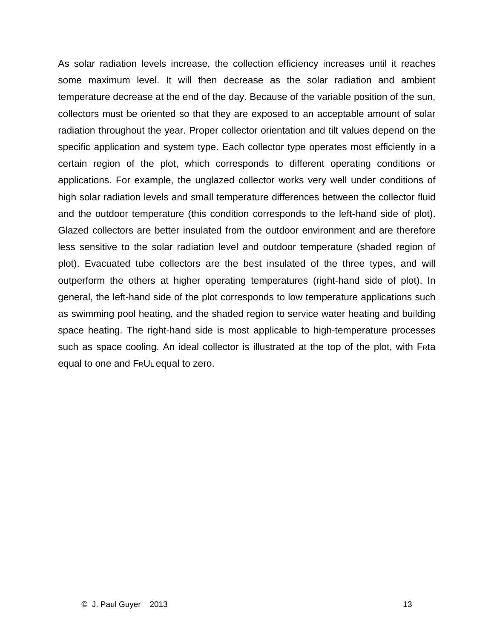As solar radiation levels increase, the collection efficiency increases until it reaches some maximum level. It will then decrease as the solar radiation and ambient temperature decrease at the end of the day. Because of the variable position of the sun, collectors must be oriented so that they are exposed to an acceptable amount of solar radiation throughout the year. Proper collector orientation and tilt values depend on the specific application and system type. Each collector type operates most efficiently in a certain region of the plot, which corresponds to different operating conditions or applications. For example, the unglazed collector works very well under conditions of high solar radiation levels and small temperature differences between the collector fluid and the outdoor temperature (this condition corresponds to the left-hand side of plot). Glazed collectors are better insulated from the outdoor environment and are therefore less sensitive to the solar radiation level and outdoor temperature (shaded region of plot). Evacuated tube collectors are the best insulated of the three types, and will outperform the others at higher operating temperatures (right-hand side of plot). In general, the left-hand side of the plot corresponds to low temperature applications such as swimming pool heating, and the shaded region to service water heating and building space heating. The right-hand side is most applicable to high-temperature processes such as space cooling. An ideal collector is illustrated at the top of the plot, with Freta equal to one and FRUL equal to zero.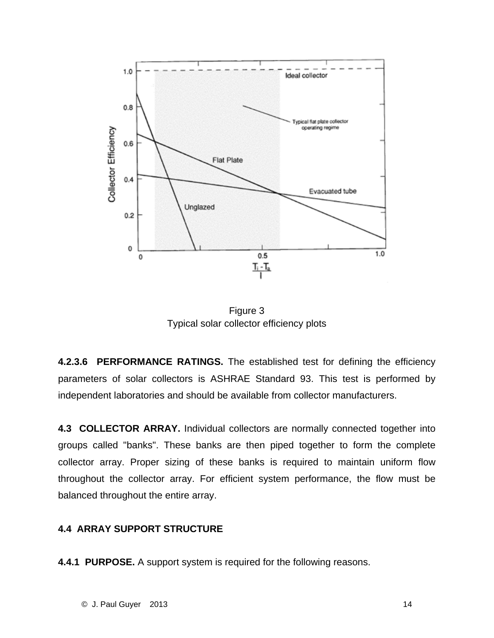

Figure 3 Typical solar collector efficiency plots

**4.2.3.6 PERFORMANCE RATINGS.** The established test for defining the efficiency parameters of solar collectors is ASHRAE Standard 93. This test is performed by independent laboratories and should be available from collector manufacturers.

**4.3 COLLECTOR ARRAY.** Individual collectors are normally connected together into groups called "banks". These banks are then piped together to form the complete collector array. Proper sizing of these banks is required to maintain uniform flow throughout the collector array. For efficient system performance, the flow must be balanced throughout the entire array.

#### **4.4 ARRAY SUPPORT STRUCTURE**

**4.4.1 PURPOSE.** A support system is required for the following reasons.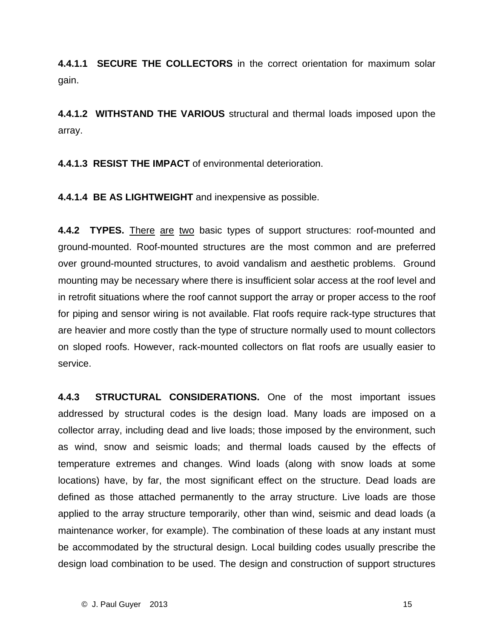**4.4.1.1 SECURE THE COLLECTORS** in the correct orientation for maximum solar gain.

**4.4.1.2 WITHSTAND THE VARIOUS** structural and thermal loads imposed upon the array.

**4.4.1.3 RESIST THE IMPACT** of environmental deterioration.

**4.4.1.4 BE AS LIGHTWEIGHT** and inexpensive as possible.

**4.4.2 TYPES.** There are two basic types of support structures: roof-mounted and ground-mounted. Roof-mounted structures are the most common and are preferred over ground-mounted structures, to avoid vandalism and aesthetic problems. Ground mounting may be necessary where there is insufficient solar access at the roof level and in retrofit situations where the roof cannot support the array or proper access to the roof for piping and sensor wiring is not available. Flat roofs require rack-type structures that are heavier and more costly than the type of structure normally used to mount collectors on sloped roofs. However, rack-mounted collectors on flat roofs are usually easier to service.

**4.4.3 STRUCTURAL CONSIDERATIONS.** One of the most important issues addressed by structural codes is the design load. Many loads are imposed on a collector array, including dead and live loads; those imposed by the environment, such as wind, snow and seismic loads; and thermal loads caused by the effects of temperature extremes and changes. Wind loads (along with snow loads at some locations) have, by far, the most significant effect on the structure. Dead loads are defined as those attached permanently to the array structure. Live loads are those applied to the array structure temporarily, other than wind, seismic and dead loads (a maintenance worker, for example). The combination of these loads at any instant must be accommodated by the structural design. Local building codes usually prescribe the design load combination to be used. The design and construction of support structures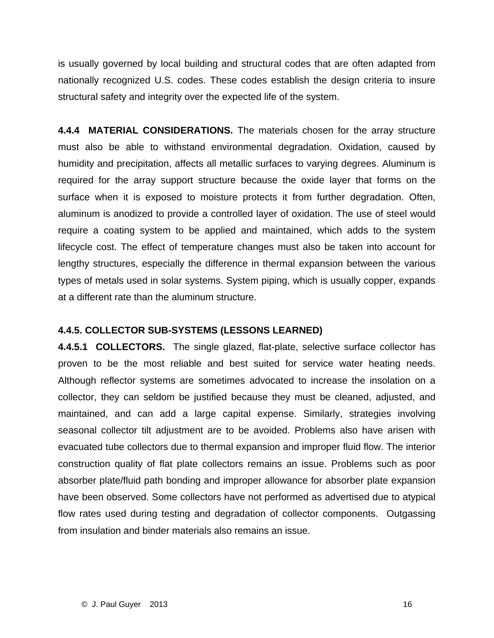is usually governed by local building and structural codes that are often adapted from nationally recognized U.S. codes. These codes establish the design criteria to insure structural safety and integrity over the expected life of the system.

**4.4.4 MATERIAL CONSIDERATIONS.** The materials chosen for the array structure must also be able to withstand environmental degradation. Oxidation, caused by humidity and precipitation, affects all metallic surfaces to varying degrees. Aluminum is required for the array support structure because the oxide layer that forms on the surface when it is exposed to moisture protects it from further degradation. Often, aluminum is anodized to provide a controlled layer of oxidation. The use of steel would require a coating system to be applied and maintained, which adds to the system lifecycle cost. The effect of temperature changes must also be taken into account for lengthy structures, especially the difference in thermal expansion between the various types of metals used in solar systems. System piping, which is usually copper, expands at a different rate than the aluminum structure.

#### **4.4.5. COLLECTOR SUB-SYSTEMS (LESSONS LEARNED)**

**4.4.5.1 COLLECTORS.** The single glazed, flat-plate, selective surface collector has proven to be the most reliable and best suited for service water heating needs. Although reflector systems are sometimes advocated to increase the insolation on a collector, they can seldom be justified because they must be cleaned, adjusted, and maintained, and can add a large capital expense. Similarly, strategies involving seasonal collector tilt adjustment are to be avoided. Problems also have arisen with evacuated tube collectors due to thermal expansion and improper fluid flow. The interior construction quality of flat plate collectors remains an issue. Problems such as poor absorber plate/fluid path bonding and improper allowance for absorber plate expansion have been observed. Some collectors have not performed as advertised due to atypical flow rates used during testing and degradation of collector components. Outgassing from insulation and binder materials also remains an issue.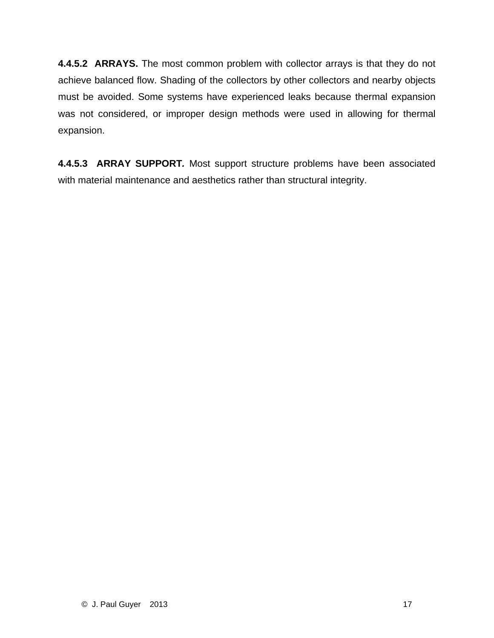**4.4.5.2 ARRAYS.** The most common problem with collector arrays is that they do not achieve balanced flow. Shading of the collectors by other collectors and nearby objects must be avoided. Some systems have experienced leaks because thermal expansion was not considered, or improper design methods were used in allowing for thermal expansion.

**4.4.5.3 ARRAY SUPPORT***.* Most support structure problems have been associated with material maintenance and aesthetics rather than structural integrity.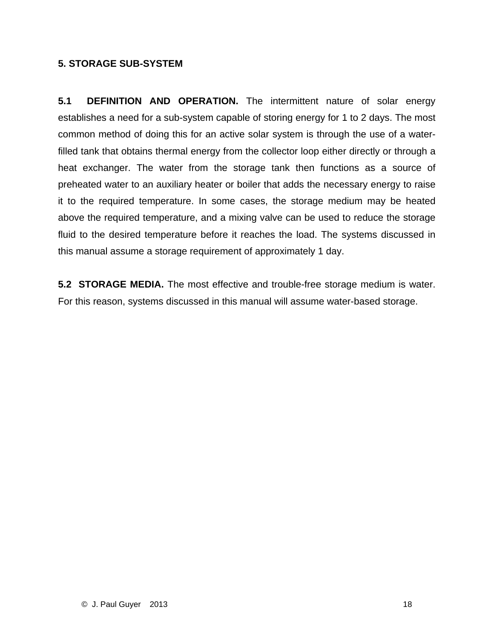#### **5. STORAGE SUB-SYSTEM**

**5.1 DEFINITION AND OPERATION.** The intermittent nature of solar energy establishes a need for a sub-system capable of storing energy for 1 to 2 days. The most common method of doing this for an active solar system is through the use of a waterfilled tank that obtains thermal energy from the collector loop either directly or through a heat exchanger. The water from the storage tank then functions as a source of preheated water to an auxiliary heater or boiler that adds the necessary energy to raise it to the required temperature. In some cases, the storage medium may be heated above the required temperature, and a mixing valve can be used to reduce the storage fluid to the desired temperature before it reaches the load. The systems discussed in this manual assume a storage requirement of approximately 1 day.

**5.2 STORAGE MEDIA.** The most effective and trouble-free storage medium is water. For this reason, systems discussed in this manual will assume water-based storage.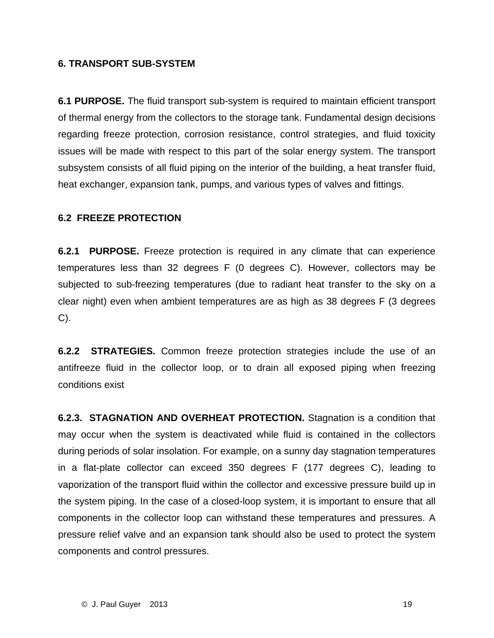#### **6. TRANSPORT SUB-SYSTEM**

**6.1 PURPOSE.** The fluid transport sub-system is required to maintain efficient transport of thermal energy from the collectors to the storage tank. Fundamental design decisions regarding freeze protection, corrosion resistance, control strategies, and fluid toxicity issues will be made with respect to this part of the solar energy system. The transport subsystem consists of all fluid piping on the interior of the building, a heat transfer fluid, heat exchanger, expansion tank, pumps, and various types of valves and fittings.

#### **6.2 FREEZE PROTECTION**

**6.2.1 PURPOSE.** Freeze protection is required in any climate that can experience temperatures less than 32 degrees F (0 degrees C). However, collectors may be subjected to sub-freezing temperatures (due to radiant heat transfer to the sky on a clear night) even when ambient temperatures are as high as 38 degrees F (3 degrees C).

**6.2.2 STRATEGIES.** Common freeze protection strategies include the use of an antifreeze fluid in the collector loop, or to drain all exposed piping when freezing conditions exist

**6.2.3. STAGNATION AND OVERHEAT PROTECTION.** Stagnation is a condition that may occur when the system is deactivated while fluid is contained in the collectors during periods of solar insolation. For example, on a sunny day stagnation temperatures in a flat-plate collector can exceed 350 degrees F (177 degrees C), leading to vaporization of the transport fluid within the collector and excessive pressure build up in the system piping. In the case of a closed-loop system, it is important to ensure that all components in the collector loop can withstand these temperatures and pressures. A pressure relief valve and an expansion tank should also be used to protect the system components and control pressures.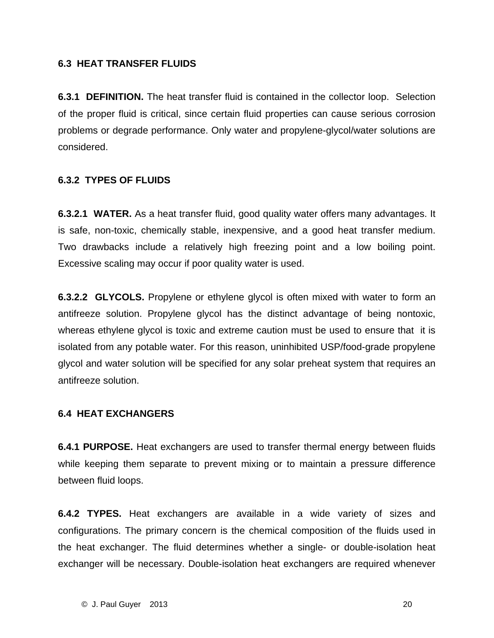#### **6.3 HEAT TRANSFER FLUIDS**

**6.3.1 DEFINITION.** The heat transfer fluid is contained in the collector loop. Selection of the proper fluid is critical, since certain fluid properties can cause serious corrosion problems or degrade performance. Only water and propylene-glycol/water solutions are considered.

#### **6.3.2 TYPES OF FLUIDS**

**6.3.2.1 WATER.** As a heat transfer fluid, good quality water offers many advantages. It is safe, non-toxic, chemically stable, inexpensive, and a good heat transfer medium. Two drawbacks include a relatively high freezing point and a low boiling point. Excessive scaling may occur if poor quality water is used.

**6.3.2.2 GLYCOLS.** Propylene or ethylene glycol is often mixed with water to form an antifreeze solution. Propylene glycol has the distinct advantage of being nontoxic, whereas ethylene glycol is toxic and extreme caution must be used to ensure that it is isolated from any potable water. For this reason, uninhibited USP/food-grade propylene glycol and water solution will be specified for any solar preheat system that requires an antifreeze solution.

#### **6.4 HEAT EXCHANGERS**

**6.4.1 PURPOSE.** Heat exchangers are used to transfer thermal energy between fluids while keeping them separate to prevent mixing or to maintain a pressure difference between fluid loops.

**6.4.2 TYPES.** Heat exchangers are available in a wide variety of sizes and configurations. The primary concern is the chemical composition of the fluids used in the heat exchanger. The fluid determines whether a single- or double-isolation heat exchanger will be necessary. Double-isolation heat exchangers are required whenever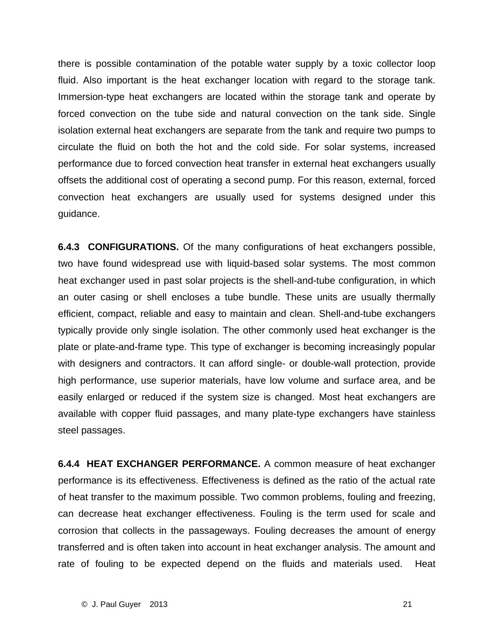there is possible contamination of the potable water supply by a toxic collector loop fluid. Also important is the heat exchanger location with regard to the storage tank. Immersion-type heat exchangers are located within the storage tank and operate by forced convection on the tube side and natural convection on the tank side. Single isolation external heat exchangers are separate from the tank and require two pumps to circulate the fluid on both the hot and the cold side. For solar systems, increased performance due to forced convection heat transfer in external heat exchangers usually offsets the additional cost of operating a second pump. For this reason, external, forced convection heat exchangers are usually used for systems designed under this guidance.

**6.4.3 CONFIGURATIONS.** Of the many configurations of heat exchangers possible, two have found widespread use with liquid-based solar systems. The most common heat exchanger used in past solar projects is the shell-and-tube configuration, in which an outer casing or shell encloses a tube bundle. These units are usually thermally efficient, compact, reliable and easy to maintain and clean. Shell-and-tube exchangers typically provide only single isolation. The other commonly used heat exchanger is the plate or plate-and-frame type. This type of exchanger is becoming increasingly popular with designers and contractors. It can afford single- or double-wall protection, provide high performance, use superior materials, have low volume and surface area, and be easily enlarged or reduced if the system size is changed. Most heat exchangers are available with copper fluid passages, and many plate-type exchangers have stainless steel passages.

**6.4.4 HEAT EXCHANGER PERFORMANCE.** A common measure of heat exchanger performance is its effectiveness. Effectiveness is defined as the ratio of the actual rate of heat transfer to the maximum possible. Two common problems, fouling and freezing, can decrease heat exchanger effectiveness. Fouling is the term used for scale and corrosion that collects in the passageways. Fouling decreases the amount of energy transferred and is often taken into account in heat exchanger analysis. The amount and rate of fouling to be expected depend on the fluids and materials used. Heat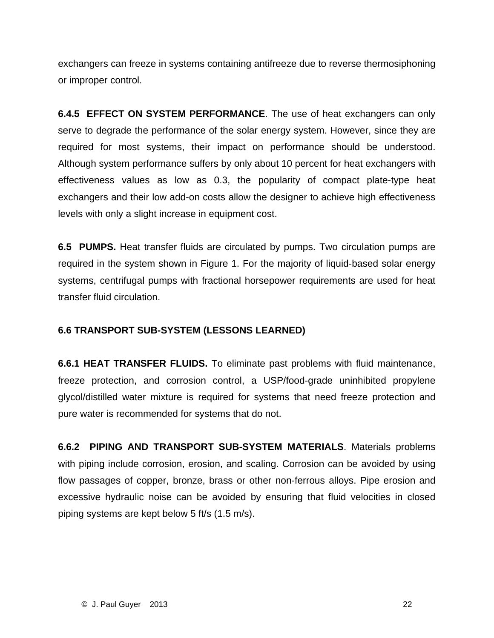exchangers can freeze in systems containing antifreeze due to reverse thermosiphoning or improper control.

**6.4.5 EFFECT ON SYSTEM PERFORMANCE**. The use of heat exchangers can only serve to degrade the performance of the solar energy system. However, since they are required for most systems, their impact on performance should be understood. Although system performance suffers by only about 10 percent for heat exchangers with effectiveness values as low as 0.3, the popularity of compact plate-type heat exchangers and their low add-on costs allow the designer to achieve high effectiveness levels with only a slight increase in equipment cost.

**6.5 PUMPS.** Heat transfer fluids are circulated by pumps. Two circulation pumps are required in the system shown in Figure 1. For the majority of liquid-based solar energy systems, centrifugal pumps with fractional horsepower requirements are used for heat transfer fluid circulation.

#### **6.6 TRANSPORT SUB-SYSTEM (LESSONS LEARNED)**

**6.6.1 HEAT TRANSFER FLUIDS.** To eliminate past problems with fluid maintenance, freeze protection, and corrosion control, a USP/food-grade uninhibited propylene glycol/distilled water mixture is required for systems that need freeze protection and pure water is recommended for systems that do not.

**6.6.2 PIPING AND TRANSPORT SUB-SYSTEM MATERIALS**. Materials problems with piping include corrosion, erosion, and scaling. Corrosion can be avoided by using flow passages of copper, bronze, brass or other non-ferrous alloys. Pipe erosion and excessive hydraulic noise can be avoided by ensuring that fluid velocities in closed piping systems are kept below 5 ft/s (1.5 m/s).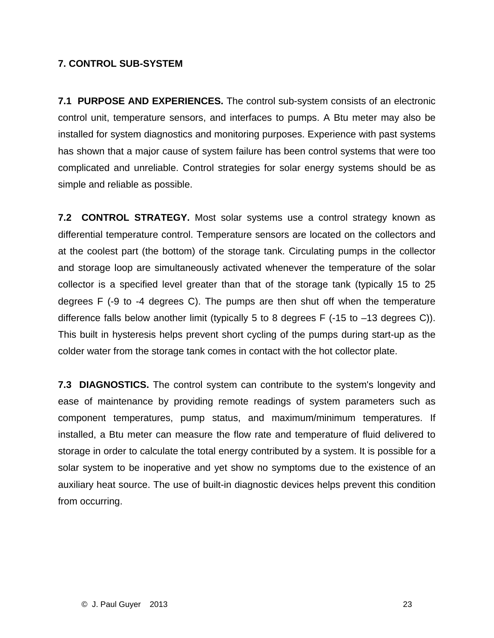#### **7. CONTROL SUB-SYSTEM**

**7.1 PURPOSE AND EXPERIENCES.** The control sub-system consists of an electronic control unit, temperature sensors, and interfaces to pumps. A Btu meter may also be installed for system diagnostics and monitoring purposes. Experience with past systems has shown that a major cause of system failure has been control systems that were too complicated and unreliable. Control strategies for solar energy systems should be as simple and reliable as possible.

**7.2 CONTROL STRATEGY.** Most solar systems use a control strategy known as differential temperature control. Temperature sensors are located on the collectors and at the coolest part (the bottom) of the storage tank. Circulating pumps in the collector and storage loop are simultaneously activated whenever the temperature of the solar collector is a specified level greater than that of the storage tank (typically 15 to 25 degrees F (-9 to -4 degrees C). The pumps are then shut off when the temperature difference falls below another limit (typically 5 to 8 degrees F (-15 to –13 degrees C)). This built in hysteresis helps prevent short cycling of the pumps during start-up as the colder water from the storage tank comes in contact with the hot collector plate.

**7.3 DIAGNOSTICS.** The control system can contribute to the system's longevity and ease of maintenance by providing remote readings of system parameters such as component temperatures, pump status, and maximum/minimum temperatures. If installed, a Btu meter can measure the flow rate and temperature of fluid delivered to storage in order to calculate the total energy contributed by a system. It is possible for a solar system to be inoperative and yet show no symptoms due to the existence of an auxiliary heat source. The use of built-in diagnostic devices helps prevent this condition from occurring.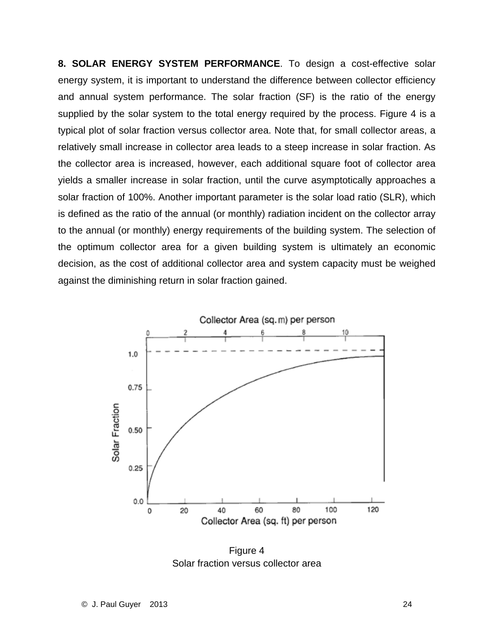**8. SOLAR ENERGY SYSTEM PERFORMANCE**. To design a cost-effective solar energy system, it is important to understand the difference between collector efficiency and annual system performance. The solar fraction (SF) is the ratio of the energy supplied by the solar system to the total energy required by the process. Figure 4 is a typical plot of solar fraction versus collector area. Note that, for small collector areas, a relatively small increase in collector area leads to a steep increase in solar fraction. As the collector area is increased, however, each additional square foot of collector area yields a smaller increase in solar fraction, until the curve asymptotically approaches a solar fraction of 100%. Another important parameter is the solar load ratio (SLR), which is defined as the ratio of the annual (or monthly) radiation incident on the collector array to the annual (or monthly) energy requirements of the building system. The selection of the optimum collector area for a given building system is ultimately an economic decision, as the cost of additional collector area and system capacity must be weighed against the diminishing return in solar fraction gained.



Figure 4 Solar fraction versus collector area